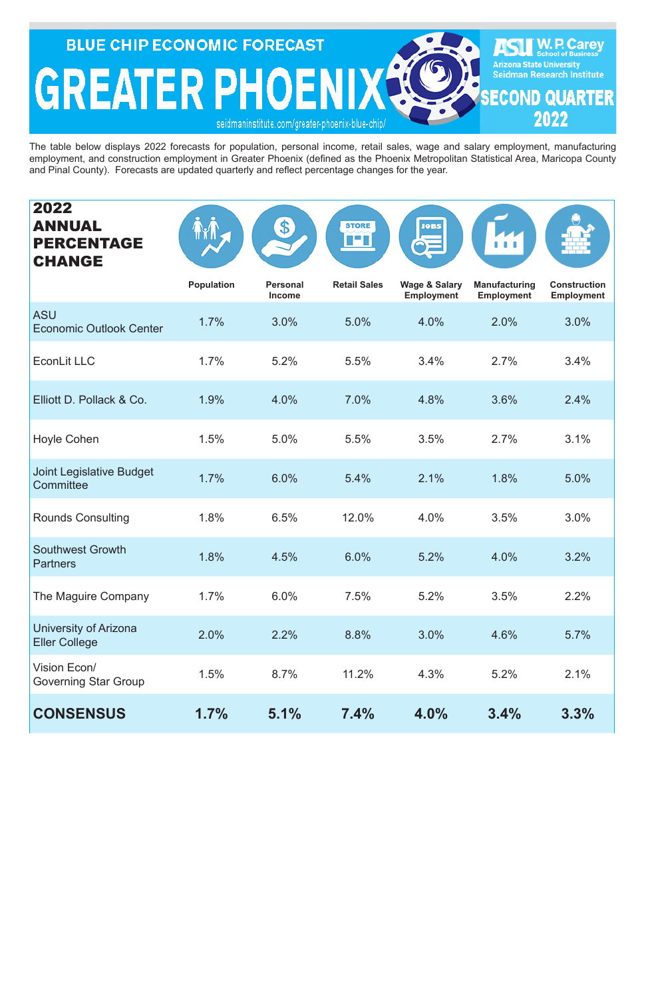| 2022<br><b>ANNUAL</b><br><b>PERCENTAGE</b><br><b>CHANGE</b> |                   | $\bullet$                        | <b>STORE</b><br><b>The Party Co</b> | <b>JOBS</b>                                   |                                           |                                          |
|-------------------------------------------------------------|-------------------|----------------------------------|-------------------------------------|-----------------------------------------------|-------------------------------------------|------------------------------------------|
|                                                             | <b>Population</b> | <b>Personal</b><br><b>Income</b> | <b>Retail Sales</b>                 | <b>Wage &amp; Salary</b><br><b>Employment</b> | <b>Manufacturing</b><br><b>Employment</b> | <b>Construction</b><br><b>Employment</b> |
| <b>ASU</b><br><b>Economic Outlook Center</b>                | 1.7%              | 3.0%                             | 5.0%                                | 4.0%                                          | 2.0%                                      | 3.0%                                     |
| <b>EconLit LLC</b>                                          | 1.7%              | 5.2%                             | 5.5%                                | 3.4%                                          | 2.7%                                      | 3.4%                                     |
| Elliott D. Pollack & Co.                                    | 1.9%              | 4.0%                             | 7.0%                                | 4.8%                                          | 3.6%                                      | 2.4%                                     |
| <b>Hoyle Cohen</b>                                          | 1.5%              | 5.0%                             | 5.5%                                | 3.5%                                          | 2.7%                                      | 3.1%                                     |
| <b>Joint Legislative Budget</b><br>Committee                | 1.7%              | 6.0%                             | 5.4%                                | 2.1%                                          | 1.8%                                      | 5.0%                                     |
| <b>Rounds Consulting</b>                                    | 1.8%              | 6.5%                             | 12.0%                               | 4.0%                                          | 3.5%                                      | 3.0%                                     |
| <b>Southwest Growth</b><br><b>Partners</b>                  | 1.8%              | 4.5%                             | 6.0%                                | 5.2%                                          | 4.0%                                      | 3.2%                                     |
| The Maguire Company                                         | 1.7%              | 6.0%                             | 7.5%                                | 5.2%                                          | 3.5%                                      | 2.2%                                     |
| University of Arizona<br><b>Eller College</b>               | 2.0%              | 2.2%                             | 8.8%                                | 3.0%                                          | 4.6%                                      | 5.7%                                     |
| Vision Econ/<br><b>Governing Star Group</b>                 | 1.5%              | 8.7%                             | 11.2%                               | 4.3%                                          | 5.2%                                      | 2.1%                                     |
| <b>CONSENSUS</b>                                            | 1.7%              | 5.1%                             | 7.4%                                | 4.0%                                          | 3.4%                                      | 3.3%                                     |

**BLUE CHIP ECONOMIC FORECAST W. P. Carey**<br>School of Business **Arizona State University GREATER PHOENIX Seidman Research Institute ECOND QUARTER** 2022 seidmaninstitute.com/greater-phoenix-blue-chip.

The table below displays 2022 forecasts for population, personal income, retail sales, wage and salary employment, manufacturing employment, and construction employment in Greater Phoenix (defined as the Phoenix Metropolitan Statistical Area, Maricopa County and Pinal County). Forecasts are updated quarterly and reflect percentage changes for the year.